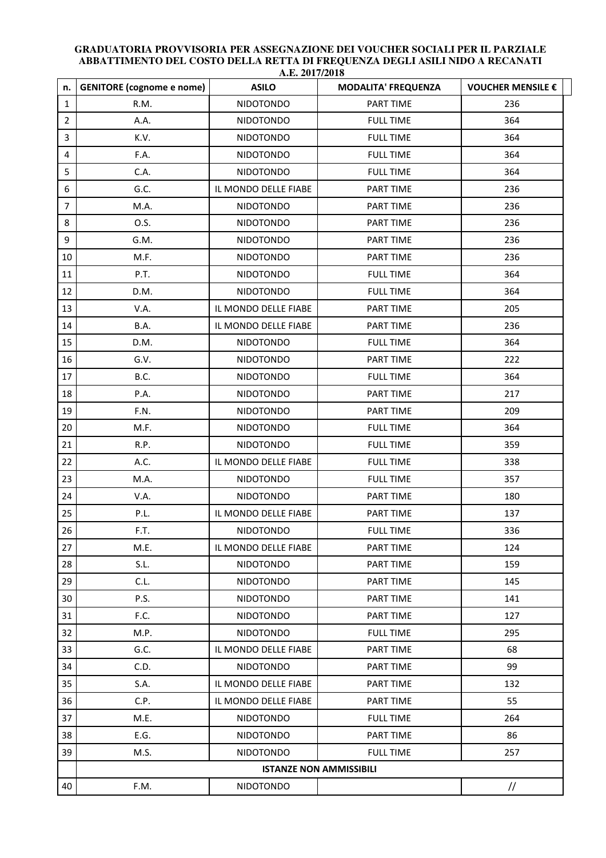| n.             | <b>GENITORE</b> (cognome e nome) | A.E. 401114010<br><b>ASILO</b> | <b>MODALITA' FREQUENZA</b> | VOUCHER MENSILE € |  |
|----------------|----------------------------------|--------------------------------|----------------------------|-------------------|--|
| $\mathbf{1}$   | R.M.                             | <b>NIDOTONDO</b>               | PART TIME                  | 236               |  |
| $\overline{2}$ | A.A.                             | <b>NIDOTONDO</b>               | <b>FULL TIME</b>           | 364               |  |
| 3              | K.V.                             | <b>NIDOTONDO</b>               | <b>FULL TIME</b>           | 364               |  |
| 4              | F.A.                             | <b>NIDOTONDO</b>               | <b>FULL TIME</b>           | 364               |  |
| 5              | C.A.                             | <b>NIDOTONDO</b>               | <b>FULL TIME</b>           | 364               |  |
| 6              | G.C.                             | IL MONDO DELLE FIABE           | PART TIME                  | 236               |  |
| $\overline{7}$ | M.A.                             | <b>NIDOTONDO</b>               | PART TIME                  | 236               |  |
| 8              | 0.S.                             | <b>NIDOTONDO</b>               | PART TIME                  | 236               |  |
| 9              | G.M.                             | <b>NIDOTONDO</b>               | PART TIME                  | 236               |  |
| 10             | M.F.                             | <b>NIDOTONDO</b>               | PART TIME                  | 236               |  |
| 11             | P.T.                             | <b>NIDOTONDO</b>               | <b>FULL TIME</b>           | 364               |  |
| 12             | D.M.                             | <b>NIDOTONDO</b>               | <b>FULL TIME</b>           | 364               |  |
| 13             | V.A.                             | IL MONDO DELLE FIABE           | PART TIME                  | 205               |  |
| 14             | B.A.                             | IL MONDO DELLE FIABE           | PART TIME                  | 236               |  |
| 15             | D.M.                             | NIDOTONDO                      | <b>FULL TIME</b>           | 364               |  |
| 16             | G.V.                             | <b>NIDOTONDO</b>               | PART TIME                  | 222               |  |
| 17             | B.C.                             | <b>NIDOTONDO</b>               | <b>FULL TIME</b>           | 364               |  |
| 18             | P.A.                             | <b>NIDOTONDO</b>               | PART TIME                  | 217               |  |
| 19             | F.N.                             | <b>NIDOTONDO</b>               | PART TIME                  | 209               |  |
| 20             | M.F.                             | <b>NIDOTONDO</b>               | <b>FULL TIME</b>           | 364               |  |
| 21             | R.P.                             | <b>NIDOTONDO</b>               | <b>FULL TIME</b>           | 359               |  |
| 22             | A.C.                             | IL MONDO DELLE FIABE           | <b>FULL TIME</b>           | 338               |  |
| 23             | M.A.                             | <b>NIDOTONDO</b>               | <b>FULL TIME</b>           | 357               |  |
| 24             | V.A.                             | <b>NIDOTONDO</b>               | PART TIME                  | 180               |  |
| 25             | P.L.                             | IL MONDO DELLE FIABE           | PART TIME                  | 137               |  |
| 26             | F.T.                             | NIDOTONDO                      | <b>FULL TIME</b>           | 336               |  |
| 27             | M.E.                             | IL MONDO DELLE FIABE           | PART TIME                  | 124               |  |
| 28             | S.L.                             | <b>NIDOTONDO</b>               | PART TIME                  | 159               |  |
| 29             | C.L.                             | NIDOTONDO                      | PART TIME                  | 145               |  |
| 30             | P.S.                             | NIDOTONDO                      | PART TIME                  | 141               |  |
| 31             | F.C.                             | NIDOTONDO                      | PART TIME                  | 127               |  |
| 32             | M.P.                             | NIDOTONDO                      | <b>FULL TIME</b>           | 295               |  |
| 33             | G.C.                             | IL MONDO DELLE FIABE           | <b>PART TIME</b>           | 68                |  |
| 34             | C.D.                             | <b>NIDOTONDO</b>               | PART TIME                  | 99                |  |
| 35             | S.A.                             | IL MONDO DELLE FIABE           | PART TIME                  | 132               |  |
| 36             | C.P.                             | IL MONDO DELLE FIABE           | PART TIME                  | 55                |  |
| 37             | M.E.                             | <b>NIDOTONDO</b>               | <b>FULL TIME</b>           | 264               |  |
| 38             | E.G.                             | <b>NIDOTONDO</b>               | PART TIME                  | 86                |  |
| 39             | M.S.                             | <b>NIDOTONDO</b>               | <b>FULL TIME</b>           | 257               |  |
|                | <b>ISTANZE NON AMMISSIBILI</b>   |                                |                            |                   |  |
| 40             | F.M.                             | NIDOTONDO                      |                            | $\frac{1}{2}$     |  |

## **GRADUATORIA PROVVISORIA PER ASSEGNAZIONE DEI VOUCHER SOCIALI PER IL PARZIALE ABBATTIMENTO DEL COSTO DELLA RETTA DI FREQUENZA DEGLI ASILI NIDO A RECANATI A.E. 2017/2018**